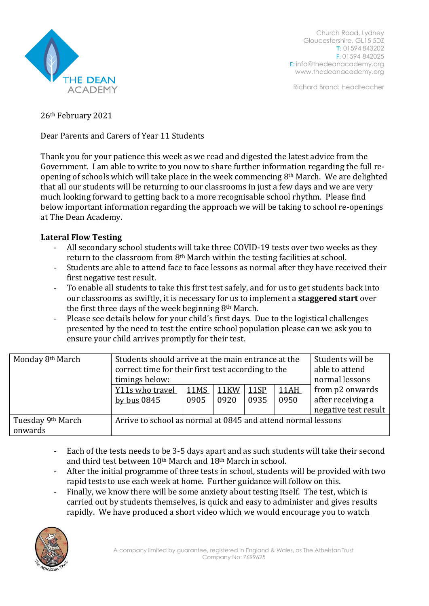

Church Road, Lydney Gloucestershire, GL15 5DZ T: 01594 843202 F: 01594 842025 E: [info@thedeanacademy.org](mailto:info@thedeanacademy.org) [www.thedeanacademy.org](http://www.thedeanacademy.org/)

Richard Brand: Headteacher

26th February 2021

Dear Parents and Carers of Year 11 Students

Thank you for your patience this week as we read and digested the latest advice from the Government. I am able to write to you now to share further information regarding the full reopening of schools which will take place in the week commencing 8th March. We are delighted that all our students will be returning to our classrooms in just a few days and we are very much looking forward to getting back to a more recognisable school rhythm. Please find below important information regarding the approach we will be taking to school re-openings at The Dean Academy.

## **Lateral Flow Testing**

- All secondary school students will take three COVID-19 tests over two weeks as they return to the classroom from 8th March within the testing facilities at school.
- Students are able to attend face to face lessons as normal after they have received their first negative test result.
- To enable all students to take this first test safely, and for us to get students back into our classrooms as swiftly, it is necessary for us to implement a **staggered start** over the first three days of the week beginning  $8<sup>th</sup>$  March.
- Please see details below for your child's first days. Due to the logistical challenges presented by the need to test the entire school population please can we ask you to ensure your child arrives promptly for their test.

| Monday 8 <sup>th</sup> March | Students should arrive at the main entrance at the<br>correct time for their first test according to the<br>timings below: |              |                          |              |              | Students will be<br>able to attend<br>normal lessons         |
|------------------------------|----------------------------------------------------------------------------------------------------------------------------|--------------|--------------------------|--------------|--------------|--------------------------------------------------------------|
|                              | Y11s who travel<br>by bus $0845$                                                                                           | 11MS<br>0905 | 11 <sub>KW</sub><br>0920 | 11SP<br>0935 | 11AH<br>0950 | from p2 onwards<br>after receiving a<br>negative test result |
| Tuesday 9th March<br>onwards | Arrive to school as normal at 0845 and attend normal lessons                                                               |              |                          |              |              |                                                              |

- Each of the tests needs to be 3-5 days apart and as such students will take their second and third test between 10<sup>th</sup> March and 18<sup>th</sup> March in school.
- After the initial programme of three tests in school, students will be provided with two rapid tests to use each week at home. Further guidance will follow on this.
- Finally, we know there will be some anxiety about testing itself. The test, which is carried out by students themselves, is quick and easy to administer and gives results rapidly. We have produced a short video which we would encourage you to watch

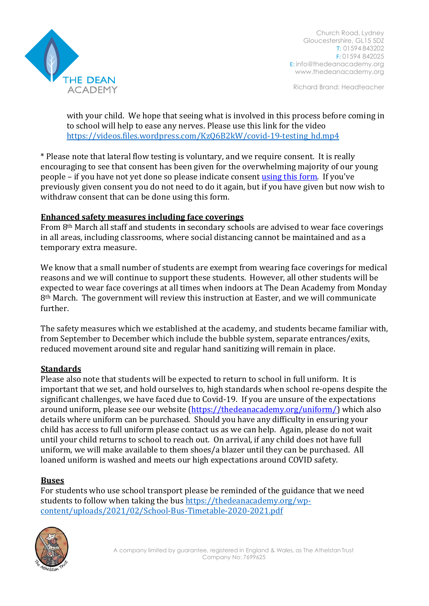

Church Road, Lydney Gloucestershire, GL15 5DZ T: 01594 843202 F: 01594 842025 E: [info@thedeanacademy.org](mailto:info@thedeanacademy.org) [www.thedeanacademy.org](http://www.thedeanacademy.org/)

Richard Brand: Headteacher

with your child. We hope that seeing what is involved in this process before coming in to school will help to ease any nerves. Please use this link for the video [https://videos.files.wordpress.com/KzQ6B2kW/covid-19-testing\\_hd.mp4](https://videos.files.wordpress.com/KzQ6B2kW/covid-19-testing_hd.mp4)

\* Please note that lateral flow testing is voluntary, and we require consent. It is really encouraging to see that consent has been given for the overwhelming majority of our young people – if you have not yet done so please indicate consent [using this form.](https://forms.office.com/Pages/ResponsePage.aspx?id=bwmcfx5OQkyVKi6ApblT_Q5Rctbf-D9NmRWwSfV3aPhUNFFUNk1ZWkpIWTdXTEpOQ1Y4NjNMSEpCNy4u) If you've previously given consent you do not need to do it again, but if you have given but now wish to withdraw consent that can be done using this form.

## **Enhanced safety measures including face coverings**

From 8th March all staff and students in secondary schools are advised to wear face coverings in all areas, including classrooms, where social distancing cannot be maintained and as a temporary extra measure.

We know that a small number of students are exempt from wearing face coverings for medical reasons and we will continue to support these students. However, all other students will be expected to wear face coverings at all times when indoors at The Dean Academy from Monday 8th March. The government will review this instruction at Easter, and we will communicate further.

The safety measures which we established at the academy, and students became familiar with, from September to December which include the bubble system, separate entrances/exits, reduced movement around site and regular hand sanitizing will remain in place.

## **Standards**

Please also note that students will be expected to return to school in full uniform. It is important that we set, and hold ourselves to, high standards when school re-opens despite the significant challenges, we have faced due to Covid-19. If you are unsure of the expectations around uniform, please see our website [\(https://thedeanacademy.org/uniform/\)](https://thedeanacademy.org/uniform/) which also details where uniform can be purchased. Should you have any difficulty in ensuring your child has access to full uniform please contact us as we can help. Again, please do not wait until your child returns to school to reach out. On arrival, if any child does not have full uniform, we will make available to them shoes/a blazer until they can be purchased. All loaned uniform is washed and meets our high expectations around COVID safety.

## **Buses**

For students who use school transport please be reminded of the guidance that we need students to follow when taking the bu[s https://thedeanacademy.org/wp](https://thedeanacademy.org/wp-content/uploads/2021/02/School-Bus-Timetable-2020-2021.pdf)[content/uploads/2021/02/School-Bus-Timetable-2020-2021.pdf](https://thedeanacademy.org/wp-content/uploads/2021/02/School-Bus-Timetable-2020-2021.pdf)